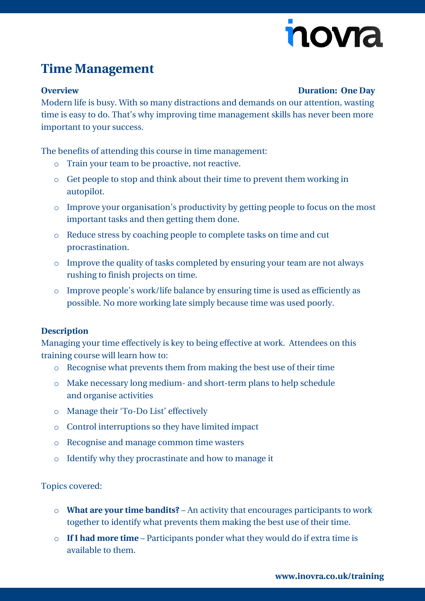

# **Time Management**

#### **Overview Duration: One Day**

Modern life is busy. With so many distractions and demands on our attention, wasting time is easy to do. That's why improving time management skills has never been more important to your success.

The benefits of attending this course in time management:

- o Train your team to be proactive, not reactive.
- o Get people to stop and think about their time to prevent them working in autopilot.
- o Improve your organisation's productivity by getting people to focus on the most important tasks and then getting them done.
- o Reduce stress by coaching people to complete tasks on time and cut procrastination.
- o Improve the quality of tasks completed by ensuring your team are not always rushing to finish projects on time.
- o Improve people's work/life balance by ensuring time is used as efficiently as possible. No more working late simply because time was used poorly.

### **Description**

Managing your time effectively is key to being effective at work. Attendees on this training course will learn how to:

- o Recognise what prevents them from making the best use of their time
- o Make necessary long medium- and short-term plans to help schedule and organise activities
- o Manage their 'To-Do List' effectively
- o Control interruptions so they have limited impact
- o Recognise and manage common time wasters
- o Identify why they procrastinate and how to manage it

### Topics covered:

- o **What are your time bandits?** An activity that encourages participants to work together to identify what prevents them making the best use of their time.
- o **If I had more time** Participants ponder what they would do if extra time is available to them.